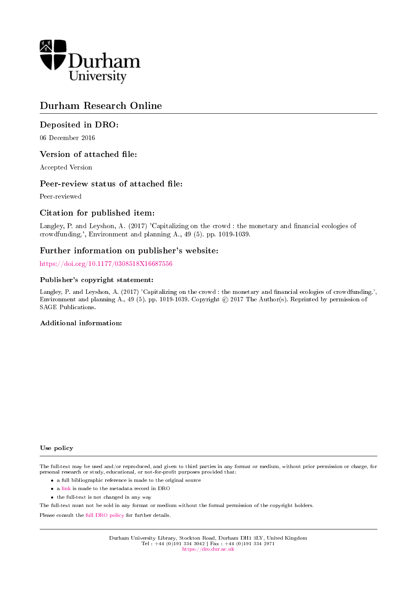

## Durham Research Online

## Deposited in DRO:

06 December 2016

## Version of attached file:

Accepted Version

## Peer-review status of attached file:

Peer-reviewed

## Citation for published item:

Langley, P. and Leyshon, A. (2017) 'Capitalizing on the crowd : the monetary and financial ecologies of crowdfunding.', Environment and planning A., 49 (5). pp. 1019-1039.

## Further information on publisher's website:

<https://doi.org/10.1177/0308518X16687556>

#### Publisher's copyright statement:

Langley, P. and Leyshon, A. (2017) 'Capitalizing on the crowd : the monetary and financial ecologies of crowdfunding.', Environment and planning A., 49 (5). pp. 1019-1039. Copyright © 2017 The Author(s). Reprinted by permission of SAGE Publications.

#### Additional information:

Use policy

The full-text may be used and/or reproduced, and given to third parties in any format or medium, without prior permission or charge, for personal research or study, educational, or not-for-profit purposes provided that:

- a full bibliographic reference is made to the original source
- a [link](http://dro.dur.ac.uk/20410/) is made to the metadata record in DRO
- the full-text is not changed in any way

The full-text must not be sold in any format or medium without the formal permission of the copyright holders.

Please consult the [full DRO policy](https://dro.dur.ac.uk/policies/usepolicy.pdf) for further details.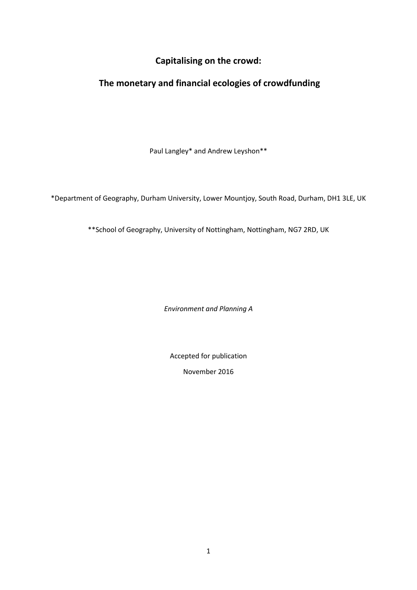## **Capitalising on the crowd:**

# **The monetary and financial ecologies of crowdfunding**

Paul Langley\* and Andrew Leyshon\*\*

\*Department of Geography, Durham University, Lower Mountjoy, South Road, Durham, DH1 3LE, UK

\*\*School of Geography, University of Nottingham, Nottingham, NG7 2RD, UK

*Environment and Planning A*

Accepted for publication

November 2016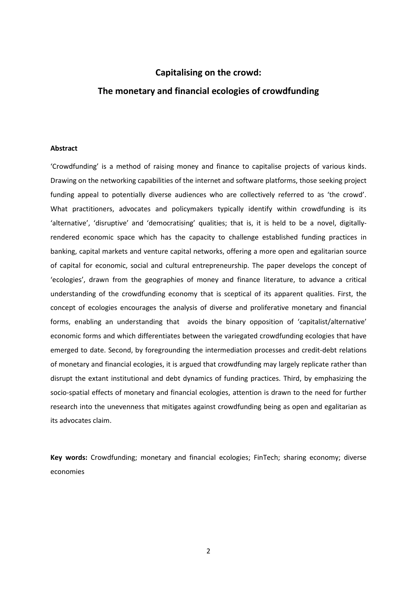## **Capitalising on the crowd:**

## **The monetary and financial ecologies of crowdfunding**

#### **Abstract**

'Crowdfunding' is a method of raising money and finance to capitalise projects of various kinds. Drawing on the networking capabilities of the internet and software platforms, those seeking project funding appeal to potentially diverse audiences who are collectively referred to as 'the crowd'. What practitioners, advocates and policymakers typically identify within crowdfunding is its 'alternative', 'disruptive' and 'democratising' qualities; that is, it is held to be a novel, digitallyrendered economic space which has the capacity to challenge established funding practices in banking, capital markets and venture capital networks, offering a more open and egalitarian source of capital for economic, social and cultural entrepreneurship. The paper develops the concept of 'ecologies', drawn from the geographies of money and finance literature, to advance a critical understanding of the crowdfunding economy that is sceptical of its apparent qualities. First, the concept of ecologies encourages the analysis of diverse and proliferative monetary and financial forms, enabling an understanding that avoids the binary opposition of 'capitalist/alternative' economic forms and which differentiates between the variegated crowdfunding ecologies that have emerged to date. Second, by foregrounding the intermediation processes and credit-debt relations of monetary and financial ecologies, it is argued that crowdfunding may largely replicate rather than disrupt the extant institutional and debt dynamics of funding practices. Third, by emphasizing the socio-spatial effects of monetary and financial ecologies, attention is drawn to the need for further research into the unevenness that mitigates against crowdfunding being as open and egalitarian as its advocates claim.

**Key words:** Crowdfunding; monetary and financial ecologies; FinTech; sharing economy; diverse economies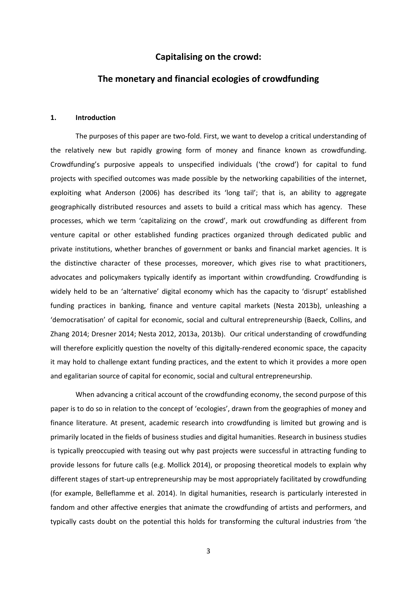## **Capitalising on the crowd:**

## **The monetary and financial ecologies of crowdfunding**

#### **1. Introduction**

The purposes of this paper are two-fold. First, we want to develop a critical understanding of the relatively new but rapidly growing form of money and finance known as crowdfunding. Crowdfunding's purposive appeals to unspecified individuals ('the crowd') for capital to fund projects with specified outcomes was made possible by the networking capabilities of the internet, exploiting what Anderson [\(2006\)](#page-24-0) has described its 'long tail'; that is, an ability to aggregate geographically distributed resources and assets to build a critical mass which has agency. These processes, which we term 'capitalizing on the crowd', mark out crowdfunding as different from venture capital or other established funding practices organized through dedicated public and private institutions, whether branches of government or banks and financial market agencies. It is the distinctive character of these processes, moreover, which gives rise to what practitioners, advocates and policymakers typically identify as important within crowdfunding. Crowdfunding is widely held to be an 'alternative' digital economy which has the capacity to 'disrupt' established funding practices in banking, finance and venture capital markets [\(Nesta 2013b\)](#page-27-0), unleashing a 'democratisation' of capital for economic, social and cultural entrepreneurship [\(Baeck, Collins, and](#page-24-1)  [Zhang 2014;](#page-24-1) [Dresner 2014;](#page-25-0) [Nesta 2012,](#page-27-1) [2013a,](#page-27-2) [2013b\)](#page-27-0). Our critical understanding of crowdfunding will therefore explicitly question the novelty of this digitally-rendered economic space, the capacity it may hold to challenge extant funding practices, and the extent to which it provides a more open and egalitarian source of capital for economic, social and cultural entrepreneurship.

When advancing a critical account of the crowdfunding economy, the second purpose of this paper is to do so in relation to the concept of 'ecologies', drawn from the geographies of money and finance literature. At present, academic research into crowdfunding is limited but growing and is primarily located in the fields of business studies and digital humanities. Research in business studies is typically preoccupied with teasing out why past projects were successful in attracting funding to provide lessons for future calls (e.g. Mollick 2014), or proposing theoretical models to explain why different stages of start-up entrepreneurship may be most appropriately facilitated by crowdfunding [\(for example, Belleflamme et al. 2014\)](#page-24-2). In digital humanities, research is particularly interested in fandom and other affective energies that animate the crowdfunding of artists and performers, and typically casts doubt on the potential this holds for transforming the cultural industries from 'the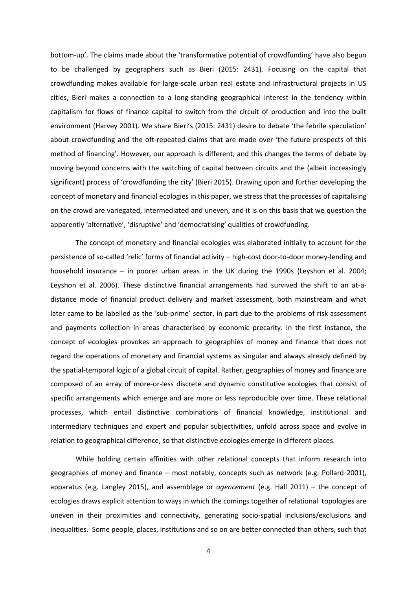bottom-up'. The claims made about the 'transformative potential of crowdfunding' have also begun to be challenged by geographers such as Bieri [\(2015: 2431\)](#page-24-3). Focusing on the capital that crowdfunding makes available for large-scale urban real estate and infrastructural projects in US cities, Bieri makes a connection to a long-standing geographical interest in the tendency within capitalism for flows of finance capital to switch from the circuit of production and into the built environment [\(Harvey 2001\)](#page-25-1). We share Bieri's (2015: 2431) desire to debate 'the febrile speculation' about crowdfunding and the oft-repeated claims that are made over 'the future prospects of this method of financing'. However, our approach is different, and this changes the terms of debate by moving beyond concerns with the switching of capital between circuits and the (albeit increasingly significant) process of 'crowdfunding the city' (Bieri 2015). Drawing upon and further developing the concept of monetary and financial ecologies in this paper, we stress that the processes of capitalising on the crowd are variegated, intermediated and uneven, and it is on this basis that we question the apparently 'alternative', 'disruptive' and 'democratising' qualities of crowdfunding.

The concept of monetary and financial ecologies was elaborated initially to account for the persistence of so-called 'relic' forms of financial activity – high-cost door-to-door money-lending and household insurance – in poorer urban areas in the UK during the 1990s [\(Leyshon et al. 2004;](#page-26-0) [Leyshon et al. 2006\)](#page-26-1). These distinctive financial arrangements had survived the shift to an at-adistance mode of financial product delivery and market assessment, both mainstream and what later came to be labelled as the 'sub-prime' sector, in part due to the problems of risk assessment and payments collection in areas characterised by economic precarity. In the first instance, the concept of ecologies provokes an approach to geographies of money and finance that does not regard the operations of monetary and financial systems as singular and always already defined by the spatial-temporal logic of a global circuit of capital. Rather, geographies of money and finance are composed of an array of more-or-less discrete and dynamic constitutive ecologies that consist of specific arrangements which emerge and are more or less reproducible over time. These relational processes, which entail distinctive combinations of financial knowledge, institutional and intermediary techniques and expert and popular subjectivities, unfold across space and evolve in relation to geographical difference, so that distinctive ecologies emerge in different places.

While holding certain affinities with other relational concepts that inform research into geographies of money and finance – most notably, concepts such as network [\(e.g. Pollard 2001\)](#page-27-3), apparatus [\(e.g. Langley 2015\)](#page-26-2), and assemblage or *agencement* [\(e.g. Hall 2011\)](#page-25-2) – the concept of ecologies draws explicit attention to ways in which the comings together of relational topologies are uneven in their proximities and connectivity, generating socio-spatial inclusions/exclusions and inequalities. Some people, places, institutions and so on are better connected than others, such that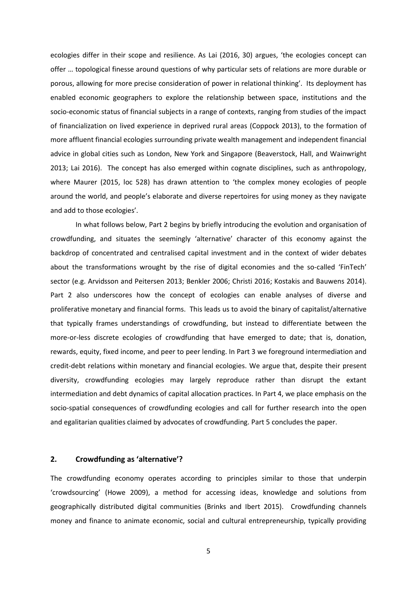ecologies differ in their scope and resilience. As Lai [\(2016, 30\)](#page-26-3) argues, 'the ecologies concept can offer … topological finesse around questions of why particular sets of relations are more durable or porous, allowing for more precise consideration of power in relational thinking'. Its deployment has enabled economic geographers to explore the relationship between space, institutions and the socio-economic status of financial subjects in a range of contexts, ranging from studies of the impact of financialization on lived experience in deprived rural areas [\(Coppock 2013\)](#page-24-4), to the formation of more affluent financial ecologies surrounding private wealth management and independent financial advice in global cities such as London, New York and Singapore [\(Beaverstock, Hall, and Wainwright](#page-24-5)  [2013;](#page-24-5) [Lai 2016\)](#page-26-3). The concept has also emerged within cognate disciplines, such as anthropology, where Maurer [\(2015, loc 528\)](#page-26-4) has drawn attention to 'the complex money ecologies of people around the world, and people's elaborate and diverse repertoires for using money as they navigate and add to those ecologies'.

In what follows below, Part 2 begins by briefly introducing the evolution and organisation of crowdfunding, and situates the seemingly 'alternative' character of this economy against the backdrop of concentrated and centralised capital investment and in the context of wider debates about the transformations wrought by the rise of digital economies and the so-called 'FinTech' sector (e.g. Arvidsson and Peitersen 2013; [Benkler 2006;](#page-24-6) [Christi 2016;](#page-24-7) [Kostakis and Bauwens 2014\)](#page-25-3). Part 2 also underscores how the concept of ecologies can enable analyses of diverse and proliferative monetary and financial forms. This leads us to avoid the binary of capitalist/alternative that typically frames understandings of crowdfunding, but instead to differentiate between the more-or-less discrete ecologies of crowdfunding that have emerged to date; that is, donation, rewards, equity, fixed income, and peer to peer lending. In Part 3 we foreground intermediation and credit-debt relations within monetary and financial ecologies. We argue that, despite their present diversity, crowdfunding ecologies may largely reproduce rather than disrupt the extant intermediation and debt dynamics of capital allocation practices. In Part 4, we place emphasis on the socio-spatial consequences of crowdfunding ecologies and call for further research into the open and egalitarian qualities claimed by advocates of crowdfunding. Part 5 concludes the paper.

#### **2. Crowdfunding as 'alternative'?**

The crowdfunding economy operates according to principles similar to those that underpin 'crowdsourcing' [\(Howe 2009\)](#page-25-4), a method for accessing ideas, knowledge and solutions from geographically distributed digital communities [\(Brinks and Ibert 2015\)](#page-24-8). Crowdfunding channels money and finance to animate economic, social and cultural entrepreneurship, typically providing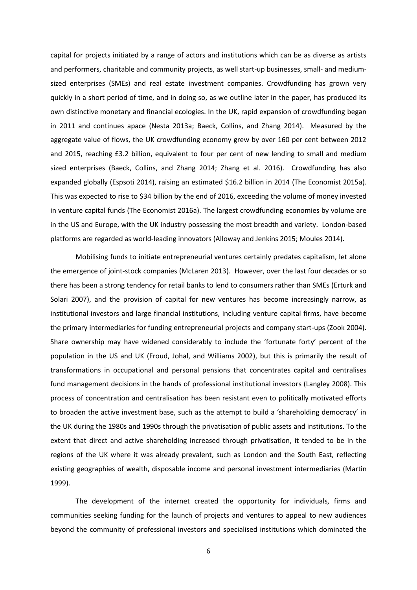capital for projects initiated by a range of actors and institutions which can be as diverse as artists and performers, charitable and community projects, as well start-up businesses, small- and mediumsized enterprises (SMEs) and real estate investment companies. Crowdfunding has grown very quickly in a short period of time, and in doing so, as we outline later in the paper, has produced its own distinctive monetary and financial ecologies. In the UK, rapid expansion of crowdfunding began in 2011 and continues apace [\(Nesta 2013a;](#page-27-2) [Baeck, Collins, and Zhang 2014\)](#page-24-1). Measured by the aggregate value of flows, the UK crowdfunding economy grew by over 160 per cent between 2012 and 2015, reaching £3.2 billion, equivalent to four per cent of new lending to small and medium sized enterprises [\(Baeck, Collins, and Zhang 2014;](#page-24-1) [Zhang et al. 2016\)](#page-27-4). Crowdfunding has also expanded globally [\(Espsoti 2014\)](#page-25-5), raising an estimated \$16.2 billion in 2014 [\(The Economist 2015a\)](#page-27-5). This was expected to rise to \$34 billion by the end of 2016, exceeding the volume of money invested in venture capital funds [\(The Economist 2016a\)](#page-27-6). The largest crowdfunding economies by volume are in the US and Europe, with the UK industry possessing the most breadth and variety. London-based platforms are regarded as world-leading innovators [\(Alloway and Jenkins 2015;](#page-24-9) [Moules 2014\)](#page-26-5).

Mobilising funds to initiate entrepreneurial ventures certainly predates capitalism, let alone the emergence of joint-stock companies [\(McLaren 2013\)](#page-26-6). However, over the last four decades or so there has been a strong tendency for retail banks to lend to consumers rather than SMEs [\(Erturk and](#page-25-6)  [Solari 2007\)](#page-25-6), and the provision of capital for new ventures has become increasingly narrow, as institutional investors and large financial institutions, including venture capital firms, have become the primary intermediaries for funding entrepreneurial projects and company start-ups (Zook 2004). Share ownership may have widened considerably to include the 'fortunate forty' percent of the population in the US and UK [\(Froud, Johal, and Williams 2002\)](#page-25-7), but this is primarily the result of transformations in occupational and personal pensions that concentrates capital and centralises fund management decisions in the hands of professional institutional investors [\(Langley 2008\)](#page-26-7). This process of concentration and centralisation has been resistant even to politically motivated efforts to broaden the active investment base, such as the attempt to build a 'shareholding democracy' in the UK during the 1980s and 1990s through the privatisation of public assets and institutions. To the extent that direct and active shareholding increased through privatisation, it tended to be in the regions of the UK where it was already prevalent, such as London and the South East, reflecting existing geographies of wealth, disposable income and personal investment intermediaries [\(Martin](#page-26-8)  [1999\)](#page-26-8).

The development of the internet created the opportunity for individuals, firms and communities seeking funding for the launch of projects and ventures to appeal to new audiences beyond the community of professional investors and specialised institutions which dominated the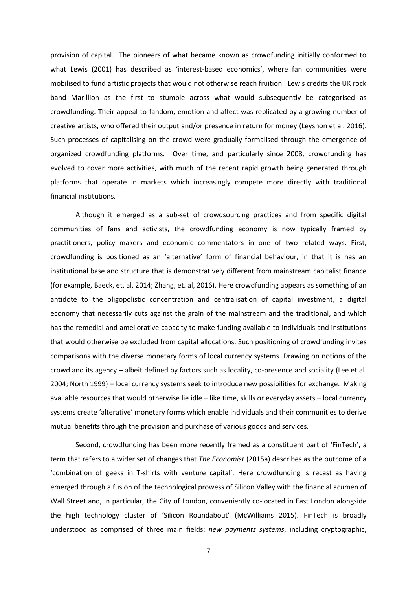provision of capital. The pioneers of what became known as crowdfunding initially conformed to what Lewis [\(2001\)](#page-26-9) has described as 'interest-based economics', where fan communities were mobilised to fund artistic projects that would not otherwise reach fruition. Lewis credits the UK rock band Marillion as the first to stumble across what would subsequently be categorised as crowdfunding. Their appeal to fandom, emotion and affect was replicated by a growing number of creative artists, who offered their output and/or presence in return for money [\(Leyshon et al. 2016\)](#page-26-10). Such processes of capitalising on the crowd were gradually formalised through the emergence of organized crowdfunding platforms. Over time, and particularly since 2008, crowdfunding has evolved to cover more activities, with much of the recent rapid growth being generated through platforms that operate in markets which increasingly compete more directly with traditional financial institutions.

Although it emerged as a sub-set of crowdsourcing practices and from specific digital communities of fans and activists, the crowdfunding economy is now typically framed by practitioners, policy makers and economic commentators in one of two related ways. First, crowdfunding is positioned as an 'alternative' form of financial behaviour, in that it is has an institutional base and structure that is demonstratively different from mainstream capitalist finance (for example, Baeck, et. al, 2014; Zhang, et. al, 2016). Here crowdfunding appears as something of an antidote to the oligopolistic concentration and centralisation of capital investment, a digital economy that necessarily cuts against the grain of the mainstream and the traditional, and which has the remedial and ameliorative capacity to make funding available to individuals and institutions that would otherwise be excluded from capital allocations. Such positioning of crowdfunding invites comparisons with the diverse monetary forms of local currency systems. Drawing on notions of the crowd and its agency – albeit defined by factors such as locality, co-presence and sociality [\(Lee et al.](#page-26-11)  [2004;](#page-26-11) [North 1999\)](#page-27-7) – local currency systems seek to introduce new possibilities for exchange. Making available resources that would otherwise lie idle – like time, skills or everyday assets – local currency systems create 'alterative' monetary forms which enable individuals and their communities to derive mutual benefits through the provision and purchase of various goods and services.

Second, crowdfunding has been more recently framed as a constituent part of 'FinTech', a term that refers to a wider set of changes that *The Economist* [\(2015a\)](#page-27-5) describes as the outcome of a 'combination of geeks in T-shirts with venture capital'. Here crowdfunding is recast as having emerged through a fusion of the technological prowess of Silicon Valley with the financial acumen of Wall Street and, in particular, the City of London, conveniently co-located in East London alongside the high technology cluster of 'Silicon Roundabout' [\(McWilliams 2015\)](#page-26-12). FinTech is broadly understood as comprised of three main fields: *new payments systems*, including cryptographic,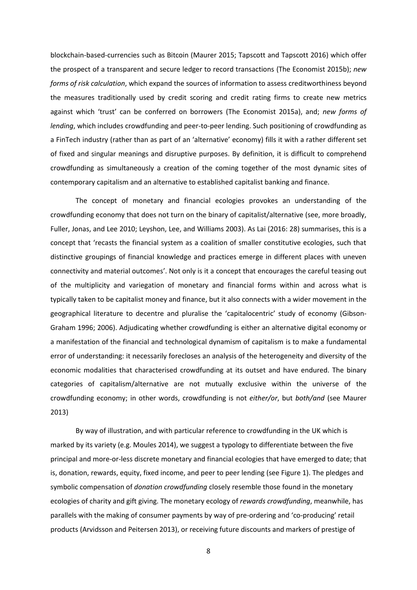blockchain-based-currencies such as Bitcoin [\(Maurer 2015;](#page-26-4) [Tapscott and Tapscott 2016\)](#page-27-8) which offer the prospect of a transparent and secure ledger to record transactions [\(The Economist 2015b\)](#page-27-9); *new forms of risk calculation*, which expand the sources of information to assess creditworthiness beyond the measures traditionally used by credit scoring and credit rating firms to create new metrics against which 'trust' can be conferred on borrowers [\(The Economist 2015a\)](#page-27-5), and; *new forms of lending*, which includes crowdfunding and peer-to-peer lending. Such positioning of crowdfunding as a FinTech industry (rather than as part of an 'alternative' economy) fills it with a rather different set of fixed and singular meanings and disruptive purposes. By definition, it is difficult to comprehend crowdfunding as simultaneously a creation of the coming together of the most dynamic sites of contemporary capitalism and an alternative to established capitalist banking and finance.

The concept of monetary and financial ecologies provokes an understanding of the crowdfunding economy that does not turn on the binary of capitalist/alternative (see, more broadly, [Fuller, Jonas, and Lee 2010;](#page-25-8) [Leyshon, Lee, and Williams 2003\)](#page-26-13). As Lai (2016: 28) summarises, this is a concept that 'recasts the financial system as a coalition of smaller constitutive ecologies, such that distinctive groupings of financial knowledge and practices emerge in different places with uneven connectivity and material outcomes'. Not only is it a concept that encourages the careful teasing out of the multiplicity and variegation of monetary and financial forms within and across what is typically taken to be capitalist money and finance, but it also connects with a wider movement in the geographical literature to decentre and pluralise the 'capitalocentric' study of economy [\(Gibson-](#page-25-9)[Graham 1996;](#page-25-9) [2006\)](#page-25-10). Adjudicating whether crowdfunding is either an alternative digital economy or a manifestation of the financial and technological dynamism of capitalism is to make a fundamental error of understanding: it necessarily forecloses an analysis of the heterogeneity and diversity of the economic modalities that characterised crowdfunding at its outset and have endured. The binary categories of capitalism/alternative are not mutually exclusive within the universe of the crowdfunding economy; in other words, crowdfunding is not *either/or*, but *both/and* (see Maurer 2013)

By way of illustration, and with particular reference to crowdfunding in the UK which is marked by its variety (e.g. Moules 2014), we suggest a typology to differentiate between the five principal and more-or-less discrete monetary and financial ecologies that have emerged to date; that is, donation, rewards, equity, fixed income, and peer to peer lending (see Figure 1). The pledges and symbolic compensation of *donation crowdfunding* closely resemble those found in the monetary ecologies of charity and gift giving. The monetary ecology of *rewards crowdfunding*, meanwhile, has parallels with the making of consumer payments by way of pre-ordering and 'co-producing' retail products [\(Arvidsson and Peitersen 2013\)](#page-24-10), or receiving future discounts and markers of prestige of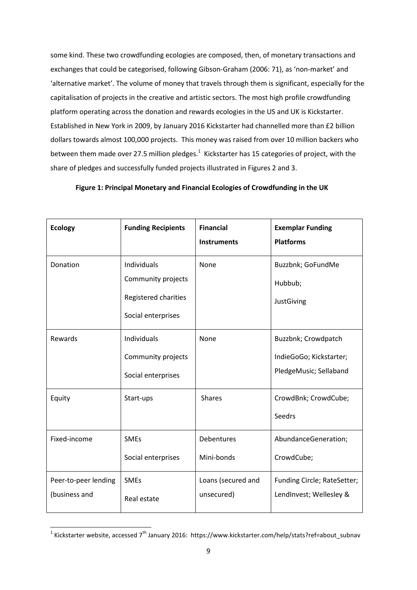some kind. These two crowdfunding ecologies are composed, then, of monetary transactions and exchanges that could be categorised, following Gibson-Graham (2006: 71), as 'non-market' and 'alternative market'. The volume of money that travels through them is significant, especially for the capitalisation of projects in the creative and artistic sectors. The most high profile crowdfunding platform operating across the donation and rewards ecologies in the US and UK is Kickstarter. Established in New York in 2009, by January 2016 Kickstarter had channelled more than £2 billion dollars towards almost 100,000 projects. This money was raised from over 10 million backers who between them made over 27.5 million pledges. $1$  Kickstarter has 15 categories of project, with the share of pledges and successfully funded projects illustrated in Figures 2 and 3.

|  | Figure 1: Principal Monetary and Financial Ecologies of Crowdfunding in the UK |  |
|--|--------------------------------------------------------------------------------|--|
|--|--------------------------------------------------------------------------------|--|

| <b>Ecology</b>                        | <b>Funding Recipients</b>                                                       | <b>Financial</b><br><b>Instruments</b> | <b>Exemplar Funding</b><br><b>Platforms</b>                              |
|---------------------------------------|---------------------------------------------------------------------------------|----------------------------------------|--------------------------------------------------------------------------|
| Donation                              | Individuals<br>Community projects<br>Registered charities<br>Social enterprises | None                                   | Buzzbnk; GoFundMe<br>Hubbub;<br>JustGiving                               |
| Rewards                               | Individuals<br>Community projects<br>Social enterprises                         | None                                   | Buzzbnk; Crowdpatch<br>IndieGoGo; Kickstarter;<br>PledgeMusic; Sellaband |
| Equity                                | Start-ups                                                                       | <b>Shares</b>                          | CrowdBnk; CrowdCube;<br>Seedrs                                           |
| Fixed-income                          | <b>SMEs</b><br>Social enterprises                                               | Debentures<br>Mini-bonds               | AbundanceGeneration;<br>CrowdCube;                                       |
| Peer-to-peer lending<br>(business and | <b>SMEs</b><br>Real estate                                                      | Loans (secured and<br>unsecured)       | Funding Circle; RateSetter;<br>LendInvest; Wellesley &                   |

 1 Kickstarter website, accessed 7th January 2016: https://www.kickstarter.com/help/stats?ref=about\_subnav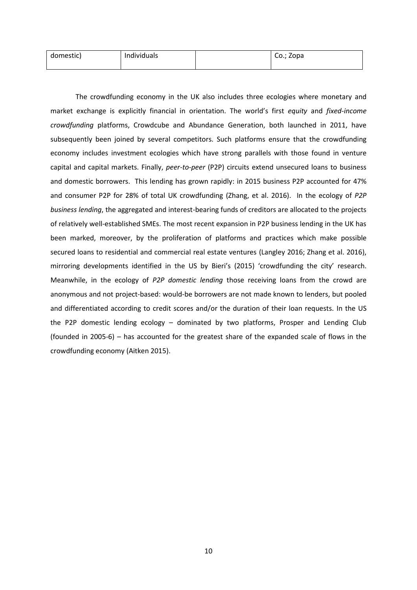| domestic) | Individuals | Co.; Zopa |
|-----------|-------------|-----------|
|           |             |           |

The crowdfunding economy in the UK also includes three ecologies where monetary and market exchange is explicitly financial in orientation. The world's first *equity* and *fixed-income crowdfunding* platforms, Crowdcube and Abundance Generation, both launched in 2011, have subsequently been joined by several competitors. Such platforms ensure that the crowdfunding economy includes investment ecologies which have strong parallels with those found in venture capital and capital markets. Finally, *peer-to-peer* (P2P) circuits extend unsecured loans to business and domestic borrowers. This lending has grown rapidly: in 2015 business P2P accounted for 47% and consumer P2P for 28% of total UK crowdfunding (Zhang, et al. 2016). In the ecology of *P2P business lending*, the aggregated and interest-bearing funds of creditors are allocated to the projects of relatively well-established SMEs. The most recent expansion in P2P business lending in the UK has been marked, moreover, by the proliferation of platforms and practices which make possible secured loans to residential and commercial real estate ventures (Langley 2016; Zhang et al. 2016), mirroring developments identified in the US by Bieri's (2015) 'crowdfunding the city' research. Meanwhile, in the ecology of *P2P domestic lending* those receiving loans from the crowd are anonymous and not project-based: would-be borrowers are not made known to lenders, but pooled and differentiated according to credit scores and/or the duration of their loan requests. In the US the P2P domestic lending ecology – dominated by two platforms, Prosper and Lending Club (founded in 2005-6) – has accounted for the greatest share of the expanded scale of flows in the crowdfunding economy [\(Aitken 2015\)](#page-24-11).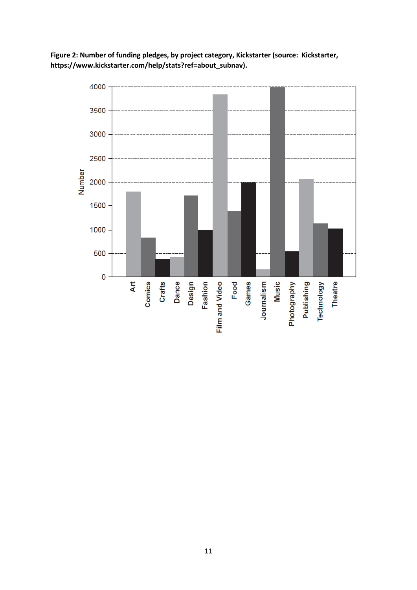

**Figure 2: Number of funding pledges, by project category, Kickstarter (source: Kickstarter, https://www.kickstarter.com/help/stats?ref=about\_subnav).**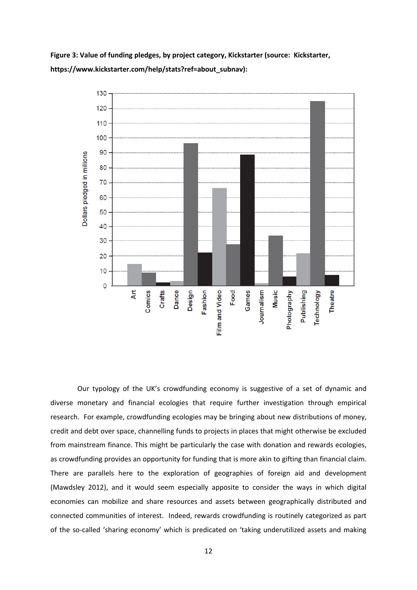



Our typology of the UK's crowdfunding economy is suggestive of a set of dynamic and diverse monetary and financial ecologies that require further investigation through empirical research. For example, crowdfunding ecologies may be bringing about new distributions of money, credit and debt over space, channelling funds to projects in places that might otherwise be excluded from mainstream finance. This might be particularly the case with donation and rewards ecologies, as crowdfunding provides an opportunity for funding that is more akin to gifting than financial claim. There are parallels here to the exploration of geographies of foreign aid and development [\(Mawdsley 2012\)](#page-26-14), and it would seem especially apposite to consider the ways in which digital economies can mobilize and share resources and assets between geographically distributed and connected communities of interest. Indeed, rewards crowdfunding is routinely categorized as part of the so-called 'sharing economy' which is predicated on 'taking underutilized assets and making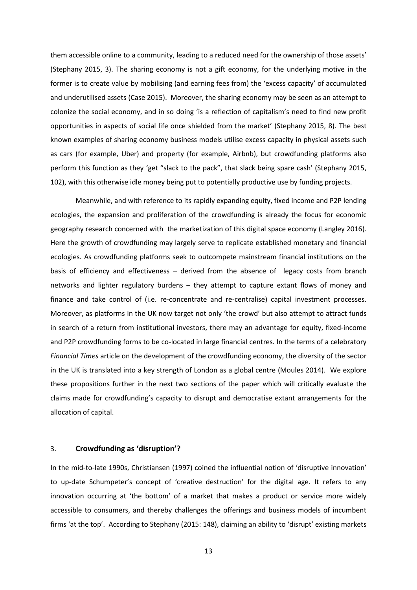them accessible online to a community, leading to a reduced need for the ownership of those assets' (Stephany 2015, 3). The sharing economy is not a gift economy, for the underlying motive in the former is to create value by mobilising (and earning fees from) the 'excess capacity' of accumulated and underutilised assets [\(Case 2015\)](#page-24-12). Moreover, the sharing economy may be seen as an attempt to colonize the social economy, and in so doing 'is a reflection of capitalism's need to find new profit opportunities in aspects of social life once shielded from the market' (Stephany 2015, 8). The best known examples of sharing economy business models utilise excess capacity in physical assets such as cars (for example, Uber) and property (for example, Airbnb), but crowdfunding platforms also perform this function as they 'get "slack to the pack", that slack being spare cash' (Stephany 2015, 102), with this otherwise idle money being put to potentially productive use by funding projects.

Meanwhile, and with reference to its rapidly expanding equity, fixed income and P2P lending ecologies, the expansion and proliferation of the crowdfunding is already the focus for economic geography research concerned with the marketization of this digital space economy [\(Langley 2016\)](#page-26-15). Here the growth of crowdfunding may largely serve to replicate established monetary and financial ecologies. As crowdfunding platforms seek to outcompete mainstream financial institutions on the basis of efficiency and effectiveness – derived from the absence of legacy costs from branch networks and lighter regulatory burdens – they attempt to capture extant flows of money and finance and take control of (i.e. re-concentrate and re-centralise) capital investment processes. Moreover, as platforms in the UK now target not only 'the crowd' but also attempt to attract funds in search of a return from institutional investors, there may an advantage for equity, fixed-income and P2P crowdfunding forms to be co-located in large financial centres. In the terms of a celebratory *Financial Times* article on the development of the crowdfunding economy, the diversity of the sector in the UK is translated into a key strength of London as a global centre (Moules 2014). We explore these propositions further in the next two sections of the paper which will critically evaluate the claims made for crowdfunding's capacity to disrupt and democratise extant arrangements for the allocation of capital.

#### 3. **Crowdfunding as 'disruption'?**

In the mid-to-late 1990s, Christiansen [\(1997\)](#page-24-13) coined the influential notion of 'disruptive innovation' to up-date Schumpeter's concept of 'creative destruction' for the digital age. It refers to any innovation occurring at 'the bottom' of a market that makes a product or service more widely accessible to consumers, and thereby challenges the offerings and business models of incumbent firms 'at the top'. According to Stephany (2015: 148), claiming an ability to 'disrupt' existing markets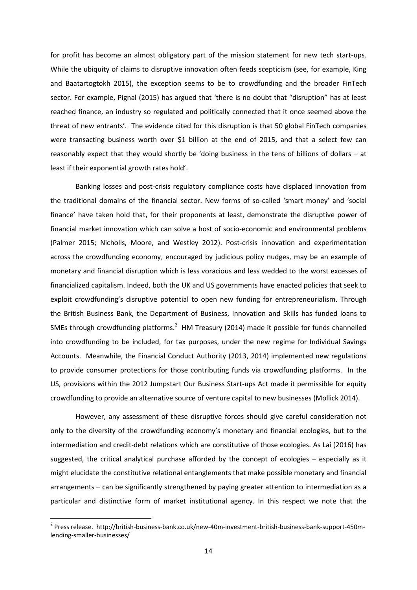for profit has become an almost obligatory part of the mission statement for new tech start-ups. While the ubiquity of claims to disruptive innovation often feeds scepticism (see, for example, King [and Baatartogtokh 2015\)](#page-25-11), the exception seems to be to crowdfunding and the broader FinTech sector. For example, Pignal [\(2015\)](#page-27-10) has argued that 'there is no doubt that "disruption" has at least reached finance, an industry so regulated and politically connected that it once seemed above the threat of new entrants'. The evidence cited for this disruption is that 50 global FinTech companies were transacting business worth over \$1 billion at the end of 2015, and that a select few can reasonably expect that they would shortly be 'doing business in the tens of billions of dollars – at least if their exponential growth rates hold'.

Banking losses and post-crisis regulatory compliance costs have displaced innovation from the traditional domains of the financial sector. New forms of so-called 'smart money' and 'social finance' have taken hold that, for their proponents at least, demonstrate the disruptive power of financial market innovation which can solve a host of socio-economic and environmental problems [\(Palmer 2015;](#page-27-11) [Nicholls, Moore, and Westley 2012\)](#page-27-12). Post-crisis innovation and experimentation across the crowdfunding economy, encouraged by judicious policy nudges, may be an example of monetary and financial disruption which is less voracious and less wedded to the worst excesses of financialized capitalism. Indeed, both the UK and US governments have enacted policies that seek to exploit crowdfunding's disruptive potential to open new funding for entrepreneurialism. Through the British Business Bank, the Department of Business, Innovation and Skills has funded loans to SMEs through crowdfunding platforms.<sup>2</sup> HM Treasury [\(2014\)](#page-25-12) made it possible for funds channelled into crowdfunding to be included, for tax purposes, under the new regime for Individual Savings Accounts. Meanwhile, the Financial Conduct Authority [\(2013,](#page-25-13) [2014\)](#page-25-14) implemented new regulations to provide consumer protections for those contributing funds via crowdfunding platforms. In the US, provisions within the 2012 Jumpstart Our Business Start-ups Act made it permissible for equity crowdfunding to provide an alternative source of venture capital to new businesses [\(Mollick 2014\)](#page-26-16).

However, any assessment of these disruptive forces should give careful consideration not only to the diversity of the crowdfunding economy's monetary and financial ecologies, but to the intermediation and credit-debt relations which are constitutive of those ecologies. As Lai (2016) has suggested, the critical analytical purchase afforded by the concept of ecologies – especially as it might elucidate the constitutive relational entanglements that make possible monetary and financial arrangements – can be significantly strengthened by paying greater attention to intermediation as a particular and distinctive form of market institutional agency. In this respect we note that the

**.** 

<sup>&</sup>lt;sup>2</sup> Press release. http://british-business-bank.co.uk/new-40m-investment-british-business-bank-support-450mlending-smaller-businesses/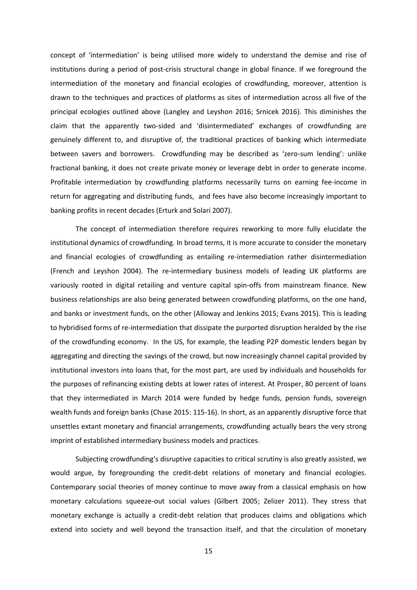concept of 'intermediation' is being utilised more widely to understand the demise and rise of institutions during a period of post-crisis structural change in global finance. If we foreground the intermediation of the monetary and financial ecologies of crowdfunding, moreover, attention is drawn to the techniques and practices of platforms as sites of intermediation across all five of the principal ecologies outlined above [\(Langley and Leyshon 2016;](#page-26-17) [Srnicek 2016\)](#page-27-13). This diminishes the claim that the apparently two-sided and 'disintermediated' exchanges of crowdfunding are genuinely different to, and disruptive of, the traditional practices of banking which intermediate between savers and borrowers. Crowdfunding may be described as 'zero-sum lending': unlike fractional banking, it does not create private money or leverage debt in order to generate income. Profitable intermediation by crowdfunding platforms necessarily turns on earning fee-income in return for aggregating and distributing funds, and fees have also become increasingly important to banking profits in recent decades [\(Erturk and Solari 2007\)](#page-25-6).

The concept of intermediation therefore requires reworking to more fully elucidate the institutional dynamics of crowdfunding. In broad terms, it is more accurate to consider the monetary and financial ecologies of crowdfunding as entailing re-intermediation rather disintermediation [\(French and Leyshon 2004\)](#page-25-15). The re-intermediary business models of leading UK platforms are variously rooted in digital retailing and venture capital spin-offs from mainstream finance. New business relationships are also being generated between crowdfunding platforms, on the one hand, and banks or investment funds, on the other [\(Alloway and Jenkins 2015;](#page-24-9) [Evans 2015\)](#page-25-16). This is leading to hybridised forms of re-intermediation that dissipate the purported disruption heralded by the rise of the crowdfunding economy. In the US, for example, the leading P2P domestic lenders began by aggregating and directing the savings of the crowd, but now increasingly channel capital provided by institutional investors into loans that, for the most part, are used by individuals and households for the purposes of refinancing existing debts at lower rates of interest. At Prosper, 80 percent of loans that they intermediated in March 2014 were funded by hedge funds, pension funds, sovereign wealth funds and foreign banks (Chase 2015: 115-16). In short, as an apparently disruptive force that unsettles extant monetary and financial arrangements, crowdfunding actually bears the very strong imprint of established intermediary business models and practices.

Subjecting crowdfunding's disruptive capacities to critical scrutiny is also greatly assisted, we would argue, by foregrounding the credit-debt relations of monetary and financial ecologies. Contemporary social theories of money continue to move away from a classical emphasis on how monetary calculations squeeze-out social values [\(Gilbert 2005;](#page-25-17) [Zelizer 2011\)](#page-27-14). They stress that monetary exchange is actually a credit-debt relation that produces claims and obligations which extend into society and well beyond the transaction itself, and that the circulation of monetary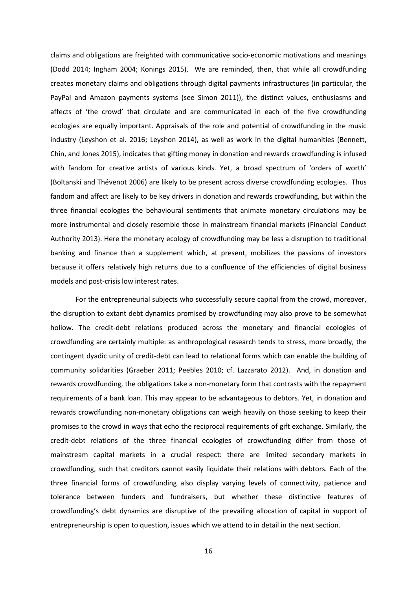claims and obligations are freighted with communicative socio-economic motivations and meanings [\(Dodd 2014;](#page-25-18) [Ingham 2004;](#page-25-19) [Konings 2015\)](#page-25-20). We are reminded, then, that while all crowdfunding creates monetary claims and obligations through digital payments infrastructures (in particular, the PayPal and Amazon payments systems [\(see Simon 2011\)](#page-27-15)), the distinct values, enthusiasms and affects of 'the crowd' that circulate and are communicated in each of the five crowdfunding ecologies are equally important. Appraisals of the role and potential of crowdfunding in the music industry [\(Leyshon et al. 2016;](#page-26-10) [Leyshon 2014\)](#page-26-18), as well as work in the digital humanities [\(Bennett,](#page-24-14)  [Chin, and Jones 2015\)](#page-24-14), indicates that gifting money in donation and rewards crowdfunding is infused with fandom for creative artists of various kinds. Yet, a broad spectrum of 'orders of worth' [\(Boltanski and Thévenot 2006\)](#page-24-15) are likely to be present across diverse crowdfunding ecologies. Thus fandom and affect are likely to be key drivers in donation and rewards crowdfunding, but within the three financial ecologies the behavioural sentiments that animate monetary circulations may be more instrumental and closely resemble those in mainstream financial markets (Financial Conduct Authority 2013). Here the monetary ecology of crowdfunding may be less a disruption to traditional banking and finance than a supplement which, at present, mobilizes the passions of investors because it offers relatively high returns due to a confluence of the efficiencies of digital business models and post-crisis low interest rates.

For the entrepreneurial subjects who successfully secure capital from the crowd, moreover, the disruption to extant debt dynamics promised by crowdfunding may also prove to be somewhat hollow. The credit-debt relations produced across the monetary and financial ecologies of crowdfunding are certainly multiple: as anthropological research tends to stress, more broadly, the contingent dyadic unity of credit-debt can lead to relational forms which can enable the building of community solidarities [\(Graeber 2011;](#page-25-21) Peebles 2010; [cf. Lazzarato 2012\)](#page-27-16). And, in donation and rewards crowdfunding, the obligations take a non-monetary form that contrasts with the repayment requirements of a bank loan. This may appear to be advantageous to debtors. Yet, in donation and rewards crowdfunding non-monetary obligations can weigh heavily on those seeking to keep their promises to the crowd in ways that echo the reciprocal requirements of gift exchange. Similarly, the credit-debt relations of the three financial ecologies of crowdfunding differ from those of mainstream capital markets in a crucial respect: there are limited secondary markets in crowdfunding, such that creditors cannot easily liquidate their relations with debtors. Each of the three financial forms of crowdfunding also display varying levels of connectivity, patience and tolerance between funders and fundraisers, but whether these distinctive features of crowdfunding's debt dynamics are disruptive of the prevailing allocation of capital in support of entrepreneurship is open to question, issues which we attend to in detail in the next section.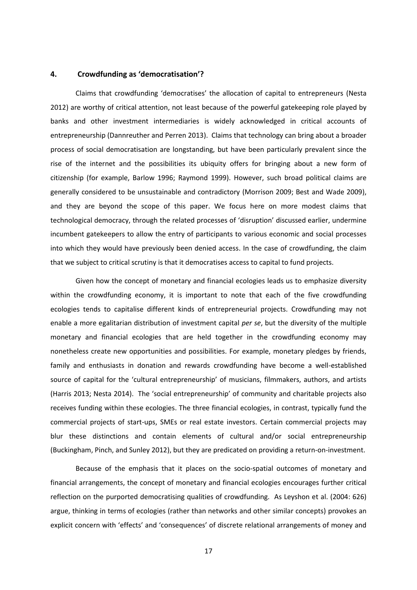#### **4. Crowdfunding as 'democratisation'?**

Claims that crowdfunding 'democratises' the allocation of capital to entrepreneurs [\(Nesta](#page-27-1)  [2012\)](#page-27-1) are worthy of critical attention, not least because of the powerful gatekeeping role played by banks and other investment intermediaries is widely acknowledged in critical accounts of entrepreneurship [\(Dannreuther and Perren 2013\)](#page-24-16). Claims that technology can bring about a broader process of social democratisation are longstanding, but have been particularly prevalent since the rise of the internet and the possibilities its ubiquity offers for bringing about a new form of citizenship (for example, [Barlow 1996;](#page-24-17) [Raymond 1999\)](#page-27-17). However, such broad political claims are generally considered to be unsustainable and contradictory [\(Morrison 2009;](#page-26-19) [Best and Wade 2009\)](#page-24-18), and they are beyond the scope of this paper. We focus here on more modest claims that technological democracy, through the related processes of 'disruption' discussed earlier, undermine incumbent gatekeepers to allow the entry of participants to various economic and social processes into which they would have previously been denied access. In the case of crowdfunding, the claim that we subject to critical scrutiny is that it democratises access to capital to fund projects.

Given how the concept of monetary and financial ecologies leads us to emphasize diversity within the crowdfunding economy, it is important to note that each of the five crowdfunding ecologies tends to capitalise different kinds of entrepreneurial projects. Crowdfunding may not enable a more egalitarian distribution of investment capital *per se*, but the diversity of the multiple monetary and financial ecologies that are held together in the crowdfunding economy may nonetheless create new opportunities and possibilities. For example, monetary pledges by friends, family and enthusiasts in donation and rewards crowdfunding have become a well-established source of capital for the 'cultural entrepreneurship' of musicians, filmmakers, authors, and artists [\(Harris 2013;](#page-25-22) [Nesta 2014\)](#page-27-18). The 'social entrepreneurship' of community and charitable projects also receives funding within these ecologies. The three financial ecologies, in contrast, typically fund the commercial projects of start-ups, SMEs or real estate investors. Certain commercial projects may blur these distinctions and contain elements of cultural and/or social entrepreneurship [\(Buckingham, Pinch, and Sunley 2012\)](#page-24-19), but they are predicated on providing a return-on-investment.

Because of the emphasis that it places on the socio-spatial outcomes of monetary and financial arrangements, the concept of monetary and financial ecologies encourages further critical reflection on the purported democratising qualities of crowdfunding. As Leyshon et al. (2004: 626) argue, thinking in terms of ecologies (rather than networks and other similar concepts) provokes an explicit concern with 'effects' and 'consequences' of discrete relational arrangements of money and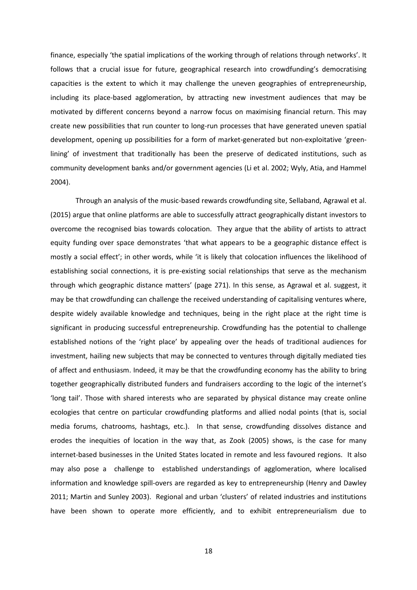finance, especially 'the spatial implications of the working through of relations through networks'. It follows that a crucial issue for future, geographical research into crowdfunding's democratising capacities is the extent to which it may challenge the uneven geographies of entrepreneurship, including its place-based agglomeration, by attracting new investment audiences that may be motivated by different concerns beyond a narrow focus on maximising financial return. This may create new possibilities that run counter to long-run processes that have generated uneven spatial development, opening up possibilities for a form of market-generated but non-exploitative 'greenlining' of investment that traditionally has been the preserve of dedicated institutions, such as community development banks and/or government agencies [\(Li et al. 2002;](#page-26-20) [Wyly, Atia, and Hammel](#page-27-19)  [2004\)](#page-27-19).

Through an analysis of the music-based rewards crowdfunding site, Sellaband, Agrawal et al. [\(2015\)](#page-24-20) argue that online platforms are able to successfully attract geographically distant investors to overcome the recognised bias towards colocation. They argue that the ability of artists to attract equity funding over space demonstrates 'that what appears to be a geographic distance effect is mostly a social effect'; in other words, while 'it is likely that colocation influences the likelihood of establishing social connections, it is pre-existing social relationships that serve as the mechanism through which geographic distance matters' (page 271). In this sense, as Agrawal et al. suggest, it may be that crowdfunding can challenge the received understanding of capitalising ventures where, despite widely available knowledge and techniques, being in the right place at the right time is significant in producing successful entrepreneurship. Crowdfunding has the potential to challenge established notions of the 'right place' by appealing over the heads of traditional audiences for investment, hailing new subjects that may be connected to ventures through digitally mediated ties of affect and enthusiasm. Indeed, it may be that the crowdfunding economy has the ability to bring together geographically distributed funders and fundraisers according to the logic of the internet's 'long tail'. Those with shared interests who are separated by physical distance may create online ecologies that centre on particular crowdfunding platforms and allied nodal points (that is, social media forums, chatrooms, hashtags, etc.). In that sense, crowdfunding dissolves distance and erodes the inequities of location in the way that, as Zook [\(2005\)](#page-28-0) shows, is the case for many internet-based businesses in the United States located in remote and less favoured regions. It also may also pose a challenge to established understandings of agglomeration, where localised information and knowledge spill-overs are regarded as key to entrepreneurship [\(Henry and Dawley](#page-25-23)  [2011;](#page-25-23) [Martin and Sunley 2003\)](#page-26-21). Regional and urban 'clusters' of related industries and institutions have been shown to operate more efficiently, and to exhibit entrepreneurialism due to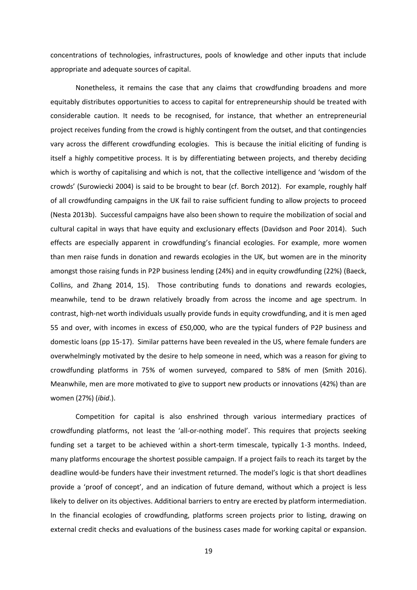concentrations of technologies, infrastructures, pools of knowledge and other inputs that include appropriate and adequate sources of capital.

Nonetheless, it remains the case that any claims that crowdfunding broadens and more equitably distributes opportunities to access to capital for entrepreneurship should be treated with considerable caution. It needs to be recognised, for instance, that whether an entrepreneurial project receives funding from the crowd is highly contingent from the outset, and that contingencies vary across the different crowdfunding ecologies. This is because the initial eliciting of funding is itself a highly competitive process. It is by differentiating between projects, and thereby deciding which is worthy of capitalising and which is not, that the collective intelligence and 'wisdom of the crowds' [\(Surowiecki 2004\)](#page-27-20) is said to be brought to bear [\(cf. Borch 2012\)](#page-24-21). For example, roughly half of all crowdfunding campaigns in the UK fail to raise sufficient funding to allow projects to proceed [\(Nesta 2013b\)](#page-27-0). Successful campaigns have also been shown to require the mobilization of social and cultural capital in ways that have equity and exclusionary effects [\(Davidson and Poor 2014\)](#page-25-24). Such effects are especially apparent in crowdfunding's financial ecologies. For example, more women than men raise funds in donation and rewards ecologies in the UK, but women are in the minority amongst those raising funds in P2P business lending (24%) and in equity crowdfunding (22%) [\(Baeck,](#page-24-1)  [Collins, and Zhang 2014, 15\)](#page-24-1). Those contributing funds to donations and rewards ecologies, meanwhile, tend to be drawn relatively broadly from across the income and age spectrum. In contrast, high-net worth individuals usually provide funds in equity crowdfunding, and it is men aged 55 and over, with incomes in excess of £50,000, who are the typical funders of P2P business and domestic loans (pp 15-17). Similar patterns have been revealed in the US, where female funders are overwhelmingly motivated by the desire to help someone in need, which was a reason for giving to crowdfunding platforms in 75% of women surveyed, compared to 58% of men [\(Smith 2016\)](#page-27-21). Meanwhile, men are more motivated to give to support new products or innovations (42%) than are women (27%) (*ibid*.).

Competition for capital is also enshrined through various intermediary practices of crowdfunding platforms, not least the 'all-or-nothing model'. This requires that projects seeking funding set a target to be achieved within a short-term timescale, typically 1-3 months. Indeed, many platforms encourage the shortest possible campaign. If a project fails to reach its target by the deadline would-be funders have their investment returned. The model's logic is that short deadlines provide a 'proof of concept', and an indication of future demand, without which a project is less likely to deliver on its objectives. Additional barriers to entry are erected by platform intermediation. In the financial ecologies of crowdfunding, platforms screen projects prior to listing, drawing on external credit checks and evaluations of the business cases made for working capital or expansion.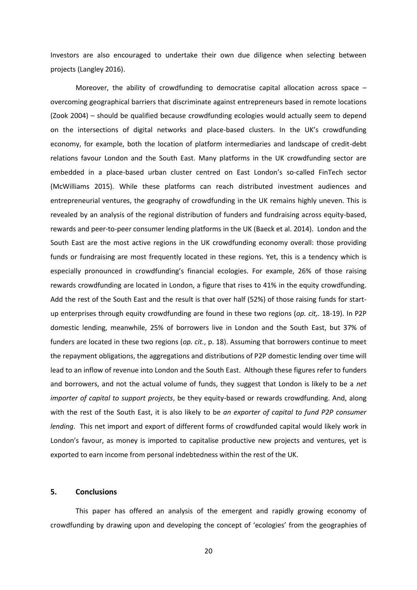Investors are also encouraged to undertake their own due diligence when selecting between projects (Langley 2016).

Moreover, the ability of crowdfunding to democratise capital allocation across space overcoming geographical barriers that discriminate against entrepreneurs based in remote locations [\(Zook 2004\)](#page-28-1) – should be qualified because crowdfunding ecologies would actually seem to depend on the intersections of digital networks and place-based clusters. In the UK's crowdfunding economy, for example, both the location of platform intermediaries and landscape of credit-debt relations favour London and the South East. Many platforms in the UK crowdfunding sector are embedded in a place-based urban cluster centred on East London's so-called FinTech sector (McWilliams 2015). While these platforms can reach distributed investment audiences and entrepreneurial ventures, the geography of crowdfunding in the UK remains highly uneven. This is revealed by an analysis of the regional distribution of funders and fundraising across equity-based, rewards and peer-to-peer consumer lending platforms in the UK (Baeck et al. 2014). London and the South East are the most active regions in the UK crowdfunding economy overall: those providing funds or fundraising are most frequently located in these regions. Yet, this is a tendency which is especially pronounced in crowdfunding's financial ecologies. For example, 26% of those raising rewards crowdfunding are located in London, a figure that rises to 41% in the equity crowdfunding. Add the rest of the South East and the result is that over half (52%) of those raising funds for startup enterprises through equity crowdfunding are found in these two regions (*op. cit,.* 18-19). In P2P domestic lending, meanwhile, 25% of borrowers live in London and the South East, but 37% of funders are located in these two regions (*op. cit.*, p. 18). Assuming that borrowers continue to meet the repayment obligations, the aggregations and distributions of P2P domestic lending over time will lead to an inflow of revenue into London and the South East. Although these figures refer to funders and borrowers, and not the actual volume of funds, they suggest that London is likely to be a *net importer of capital to support projects*, be they equity-based or rewards crowdfunding. And, along with the rest of the South East, it is also likely to be *an exporter of capital to fund P2P consumer lending*. This net import and export of different forms of crowdfunded capital would likely work in London's favour, as money is imported to capitalise productive new projects and ventures, yet is exported to earn income from personal indebtedness within the rest of the UK.

#### **5. Conclusions**

This paper has offered an analysis of the emergent and rapidly growing economy of crowdfunding by drawing upon and developing the concept of 'ecologies' from the geographies of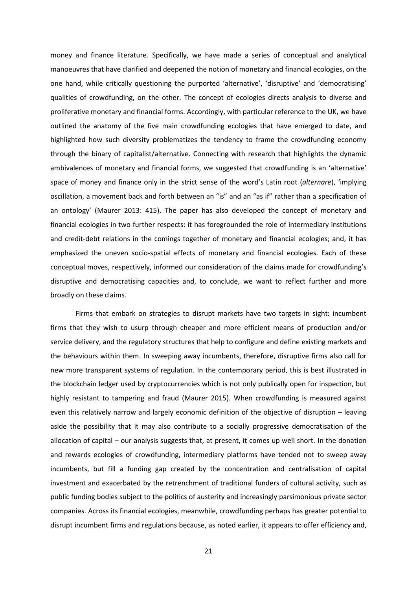money and finance literature. Specifically, we have made a series of conceptual and analytical manoeuvres that have clarified and deepened the notion of monetary and financial ecologies, on the one hand, while critically questioning the purported 'alternative', 'disruptive' and 'democratising' qualities of crowdfunding, on the other. The concept of ecologies directs analysis to diverse and proliferative monetary and financial forms. Accordingly, with particular reference to the UK, we have outlined the anatomy of the five main crowdfunding ecologies that have emerged to date, and highlighted how such diversity problematizes the tendency to frame the crowdfunding economy through the binary of capitalist/alternative. Connecting with research that highlights the dynamic ambivalences of monetary and financial forms, we suggested that crowdfunding is an 'alternative' space of money and finance only in the strict sense of the word's Latin root (*alternare*), 'implying oscillation, a movement back and forth between an "is" and an "as if" rather than a specification of an ontology' [\(Maurer 2013: 415\)](#page-26-22). The paper has also developed the concept of monetary and financial ecologies in two further respects: it has foregrounded the role of intermediary institutions and credit-debt relations in the comings together of monetary and financial ecologies; and, it has emphasized the uneven socio-spatial effects of monetary and financial ecologies. Each of these conceptual moves, respectively, informed our consideration of the claims made for crowdfunding's disruptive and democratising capacities and, to conclude, we want to reflect further and more broadly on these claims.

Firms that embark on strategies to disrupt markets have two targets in sight: incumbent firms that they wish to usurp through cheaper and more efficient means of production and/or service delivery, and the regulatory structures that help to configure and define existing markets and the behaviours within them. In sweeping away incumbents, therefore, disruptive firms also call for new more transparent systems of regulation. In the contemporary period, this is best illustrated in the blockchain ledger used by cryptocurrencies which is not only publically open for inspection, but highly resistant to tampering and fraud (Maurer 2015). When crowdfunding is measured against even this relatively narrow and largely economic definition of the objective of disruption – leaving aside the possibility that it may also contribute to a socially progressive democratisation of the allocation of capital – our analysis suggests that, at present, it comes up well short. In the donation and rewards ecologies of crowdfunding, intermediary platforms have tended not to sweep away incumbents, but fill a funding gap created by the concentration and centralisation of capital investment and exacerbated by the retrenchment of traditional funders of cultural activity, such as public funding bodies subject to the politics of austerity and increasingly parsimonious private sector companies. Across its financial ecologies, meanwhile, crowdfunding perhaps has greater potential to disrupt incumbent firms and regulations because, as noted earlier, it appears to offer efficiency and,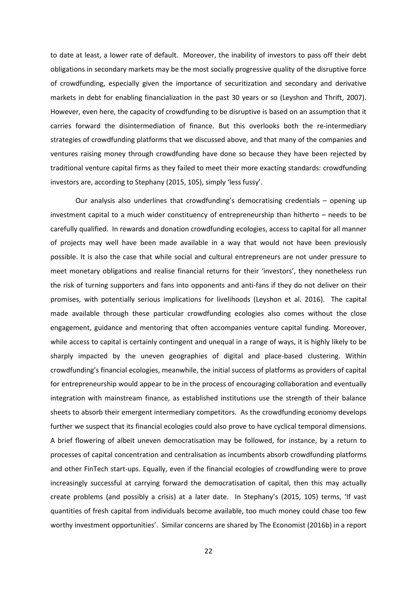to date at least, a lower rate of default. Moreover, the inability of investors to pass off their debt obligations in secondary markets may be the most socially progressive quality of the disruptive force of crowdfunding, especially given the importance of securitization and secondary and derivative markets in debt for enabling financialization in the past 30 years or so (Leyshon and Thrift, 2007). However, even here, the capacity of crowdfunding to be disruptive is based on an assumption that it carries forward the disintermediation of finance. But this overlooks both the re-intermediary strategies of crowdfunding platforms that we discussed above, and that many of the companies and ventures raising money through crowdfunding have done so because they have been rejected by traditional venture capital firms as they failed to meet their more exacting standards: crowdfunding investors are, according to Stephany (2015, 105), simply 'less fussy'.

Our analysis also underlines that crowdfunding's democratising credentials – opening up investment capital to a much wider constituency of entrepreneurship than hitherto – needs to be carefully qualified. In rewards and donation crowdfunding ecologies, access to capital for all manner of projects may well have been made available in a way that would not have been previously possible. It is also the case that while social and cultural entrepreneurs are not under pressure to meet monetary obligations and realise financial returns for their 'investors', they nonetheless run the risk of turning supporters and fans into opponents and anti-fans if they do not deliver on their promises, with potentially serious implications for livelihoods [\(Leyshon et al. 2016\)](#page-26-10). The capital made available through these particular crowdfunding ecologies also comes without the close engagement, guidance and mentoring that often accompanies venture capital funding. Moreover, while access to capital is certainly contingent and unequal in a range of ways, it is highly likely to be sharply impacted by the uneven geographies of digital and place-based clustering. Within crowdfunding's financial ecologies, meanwhile, the initial success of platforms as providers of capital for entrepreneurship would appear to be in the process of encouraging collaboration and eventually integration with mainstream finance, as established institutions use the strength of their balance sheets to absorb their emergent intermediary competitors. As the crowdfunding economy develops further we suspect that its financial ecologies could also prove to have cyclical temporal dimensions. A brief flowering of albeit uneven democratisation may be followed, for instance, by a return to processes of capital concentration and centralisation as incumbents absorb crowdfunding platforms and other FinTech start-ups. Equally, even if the financial ecologies of crowdfunding were to prove increasingly successful at carrying forward the democratisation of capital, then this may actually create problems (and possibly a crisis) at a later date. In Stephany's (2015, 105) terms, 'If vast quantities of fresh capital from individuals become available, too much money could chase too few worthy investment opportunities'. Similar concerns are shared by The Economist [\(2016b\)](#page-27-22) in a report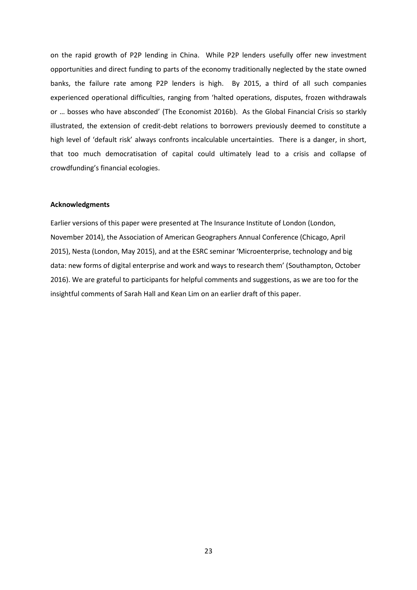on the rapid growth of P2P lending in China. While P2P lenders usefully offer new investment opportunities and direct funding to parts of the economy traditionally neglected by the state owned banks, the failure rate among P2P lenders is high. By 2015, a third of all such companies experienced operational difficulties, ranging from 'halted operations, disputes, frozen withdrawals or … bosses who have absconded' [\(The Economist 2016b\)](#page-27-22). As the Global Financial Crisis so starkly illustrated, the extension of credit-debt relations to borrowers previously deemed to constitute a high level of 'default risk' always confronts incalculable uncertainties. There is a danger, in short, that too much democratisation of capital could ultimately lead to a crisis and collapse of crowdfunding's financial ecologies.

#### **Acknowledgments**

Earlier versions of this paper were presented at The Insurance Institute of London (London, November 2014), the Association of American Geographers Annual Conference (Chicago, April 2015), Nesta (London, May 2015), and at the ESRC seminar 'Microenterprise, technology and big data: new forms of digital enterprise and work and ways to research them' (Southampton, October 2016). We are grateful to participants for helpful comments and suggestions, as we are too for the insightful comments of Sarah Hall and Kean Lim on an earlier draft of this paper.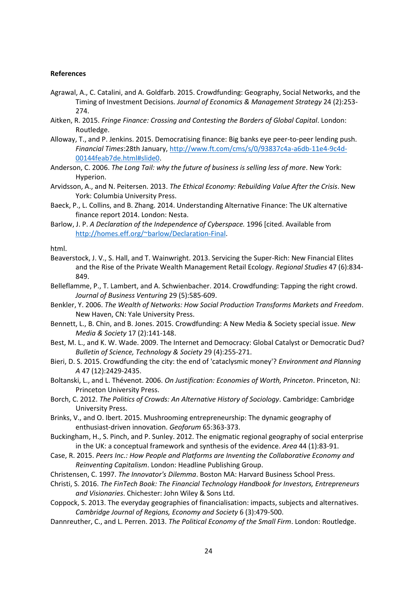#### **References**

- <span id="page-24-20"></span>Agrawal, A., C. Catalini, and A. Goldfarb. 2015. Crowdfunding: Geography, Social Networks, and the Timing of Investment Decisions. *Journal of Economics & Management Strategy* 24 (2):253- 274.
- <span id="page-24-11"></span>Aitken, R. 2015. *Fringe Finance: Crossing and Contesting the Borders of Global Capital*. London: Routledge.
- <span id="page-24-9"></span>Alloway, T., and P. Jenkins. 2015. Democratising finance: Big banks eye peer-to-peer lending push. *Financial Times*:28th January, [http://www.ft.com/cms/s/0/93837c4a-a6db-11e4-9c4d-](http://www.ft.com/cms/s/0/93837c4a-a6db-11e4-9c4d-00144feab7de.html#slide0)[00144feab7de.html#slide0.](http://www.ft.com/cms/s/0/93837c4a-a6db-11e4-9c4d-00144feab7de.html#slide0)
- <span id="page-24-0"></span>Anderson, C. 2006. *The Long Tail: why the future of business is selling less of more*. New York: Hyperion.
- <span id="page-24-10"></span>Arvidsson, A., and N. Peitersen. 2013. *The Ethical Economy: Rebuilding Value After the Crisis*. New York: Columbia University Press.
- <span id="page-24-1"></span>Baeck, P., L. Collins, and B. Zhang. 2014. Understanding Alternative Finance: The UK alternative finance report 2014. London: Nesta.
- <span id="page-24-17"></span>Barlow, J. P. *A Declaration of the Independence of Cyberspace.* 1996 [cited. Available from [http://homes.eff.org/~barlow/Declaration-Final.](http://homes.eff.org/~barlow/Declaration-Final)

html.

- <span id="page-24-5"></span>Beaverstock, J. V., S. Hall, and T. Wainwright. 2013. Servicing the Super-Rich: New Financial Elites and the Rise of the Private Wealth Management Retail Ecology. *Regional Studies* 47 (6):834- 849.
- <span id="page-24-2"></span>Belleflamme, P., T. Lambert, and A. Schwienbacher. 2014. Crowdfunding: Tapping the right crowd. *Journal of Business Venturing* 29 (5):585-609.
- <span id="page-24-6"></span>Benkler, Y. 2006. *The Wealth of Networks: How Social Production Transforms Markets and Freedom*. New Haven, CN: Yale University Press.
- <span id="page-24-14"></span>Bennett, L., B. Chin, and B. Jones. 2015. Crowdfunding: A New Media & Society special issue. *New Media & Society* 17 (2):141-148.
- <span id="page-24-18"></span>Best, M. L., and K. W. Wade. 2009. The Internet and Democracy: Global Catalyst or Democratic Dud? *Bulletin of Science, Technology & Society* 29 (4):255-271.
- <span id="page-24-3"></span>Bieri, D. S. 2015. Crowdfunding the city: the end of 'cataclysmic money'? *Environment and Planning A* 47 (12):2429-2435.
- <span id="page-24-15"></span>Boltanski, L., and L. Thévenot. 2006. *On Justification: Economies of Worth, Princeton*. Princeton, NJ: Princeton University Press.
- <span id="page-24-21"></span>Borch, C. 2012. *The Politics of Crowds: An Alternative History of Sociology*. Cambridge: Cambridge University Press.
- <span id="page-24-8"></span>Brinks, V., and O. Ibert. 2015. Mushrooming entrepreneurship: The dynamic geography of enthusiast-driven innovation. *Geoforum* 65:363-373.
- <span id="page-24-19"></span>Buckingham, H., S. Pinch, and P. Sunley. 2012. The enigmatic regional geography of social enterprise in the UK: a conceptual framework and synthesis of the evidence. *Area* 44 (1):83-91.
- <span id="page-24-12"></span>Case, R. 2015. *Peers Inc.: How People and Platforms are Inventing the Collaborative Economy and Reinventing Capitalism*. London: Headline Publishing Group.
- <span id="page-24-13"></span>Christensen, C. 1997. *The Innovator's Dilemma*. Boston MA: Harvard Business School Press.
- <span id="page-24-7"></span>Christi, S. 2016. *The FinTech Book: The Financial Technology Handbook for Investors, Entrepreneurs and Visionaries*. Chichester: John Wiley & Sons Ltd.
- <span id="page-24-4"></span>Coppock, S. 2013. The everyday geographies of financialisation: impacts, subjects and alternatives. *Cambridge Journal of Regions, Economy and Society* 6 (3):479-500.
- <span id="page-24-16"></span>Dannreuther, C., and L. Perren. 2013. *The Political Economy of the Small Firm*. London: Routledge.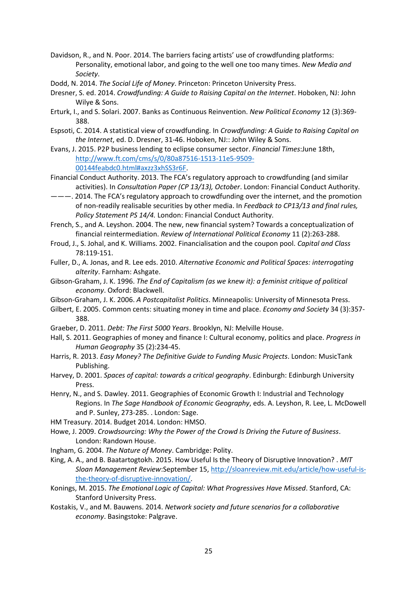- <span id="page-25-24"></span>Davidson, R., and N. Poor. 2014. The barriers facing artists' use of crowdfunding platforms: Personality, emotional labor, and going to the well one too many times. *New Media and Society*.
- <span id="page-25-18"></span>Dodd, N. 2014. *The Social Life of Money*. Princeton: Princeton University Press.
- <span id="page-25-0"></span>Dresner, S. ed. 2014. *Crowdfunding: A Guide to Raising Capital on the Internet*. Hoboken, NJ: John Wilye & Sons.
- <span id="page-25-6"></span>Erturk, I., and S. Solari. 2007. Banks as Continuous Reinvention. *New Political Economy* 12 (3):369- 388.
- <span id="page-25-5"></span>Espsoti, C. 2014. A statistical view of crowdfunding. In *Crowdfunding: A Guide to Raising Capital on the Internet*, ed. D. Dresner, 31-46. Hoboken, NJ:: John Wiley & Sons.
- <span id="page-25-16"></span>Evans, J. 2015. P2P business lending to eclipse consumer sector. *Financial Times*:June 18th, [http://www.ft.com/cms/s/0/80a87516-1513-11e5-9509-](http://www.ft.com/cms/s/0/80a87516-1513-11e5-9509-00144feabdc0.html#axzz3xhSS3r6F) [00144feabdc0.html#axzz3xhSS3r6F.](http://www.ft.com/cms/s/0/80a87516-1513-11e5-9509-00144feabdc0.html#axzz3xhSS3r6F)
- <span id="page-25-13"></span>Financial Conduct Authority. 2013. The FCA's regulatory approach to crowdfunding (and similar activities). In *Consultation Paper (CP 13/13), October*. London: Financial Conduct Authority.
- <span id="page-25-14"></span>———. 2014. The FCA's regulatory approach to crowdfunding over the internet, and the promotion of non-readily realisable securities by other media. In *Feedback to CP13/13 and final rules, Policy Statement PS 14/4.* London: Financial Conduct Authority.
- <span id="page-25-15"></span>French, S., and A. Leyshon. 2004. The new, new financial system? Towards a conceptualization of financial reintermediation. *Review of International Political Economy* 11 (2):263-288.
- <span id="page-25-7"></span>Froud, J., S. Johal, and K. Williams. 2002. Financialisation and the coupon pool. *Capital and Class* 78:119-151.
- <span id="page-25-8"></span>Fuller, D., A. Jonas, and R. Lee eds. 2010. *Alternative Economic and Political Spaces: interrogating alterity*. Farnham: Ashgate.
- <span id="page-25-9"></span>Gibson-Graham, J. K. 1996. *The End of Capitalism (as we knew it): a feminist critique of political economy*. Oxford: Blackwell.
- <span id="page-25-10"></span>Gibson-Graham, J. K. 2006. *A Postcapitalist Politics*. Minneapolis: University of Minnesota Press.
- <span id="page-25-17"></span>Gilbert, E. 2005. Common cents: situating money in time and place. *Economy and Society* 34 (3):357- 388.
- <span id="page-25-21"></span>Graeber, D. 2011. *Debt: The First 5000 Years*. Brooklyn, NJ: Melville House.
- <span id="page-25-2"></span>Hall, S. 2011. Geographies of money and finance I: Cultural economy, politics and place. *Progress in Human Geography* 35 (2):234-45.
- <span id="page-25-22"></span>Harris, R. 2013. *Easy Money? The Definitive Guide to Funding Music Projects*. London: MusicTank Publishing.
- <span id="page-25-1"></span>Harvey, D. 2001. *Spaces of capital: towards a critical geography*. Edinburgh: Edinburgh University Press.
- <span id="page-25-23"></span>Henry, N., and S. Dawley. 2011. Geographies of Economic Growth I: Industrial and Technology Regions. In *The Sage Handbook of Economic Geography*, eds. A. Leyshon, R. Lee, L. McDowell and P. Sunley, 273-285. . London: Sage.
- <span id="page-25-12"></span>HM Treasury. 2014. Budget 2014. London: HMSO.
- <span id="page-25-4"></span>Howe, J. 2009. *Crowdsourcing: Why the Power of the Crowd Is Driving the Future of Business*. London: Randown House.
- <span id="page-25-19"></span>Ingham, G. 2004. *The Nature of Money*. Cambridge: Polity.
- <span id="page-25-11"></span>King, A. A., and B. Baatartogtokh. 2015. How Useful Is the Theory of Disruptive Innovation? . *MIT Sloan Management Review*:September 15, [http://sloanreview.mit.edu/article/how-useful-is](http://sloanreview.mit.edu/article/how-useful-is-the-theory-of-disruptive-innovation/)[the-theory-of-disruptive-innovation/.](http://sloanreview.mit.edu/article/how-useful-is-the-theory-of-disruptive-innovation/)
- <span id="page-25-20"></span>Konings, M. 2015. *The Emotional Logic of Capital: What Progressives Have Missed*. Stanford, CA: Stanford University Press.
- <span id="page-25-3"></span>Kostakis, V., and M. Bauwens. 2014. *Network society and future scenarios for a collaborative economy*. Basingstoke: Palgrave.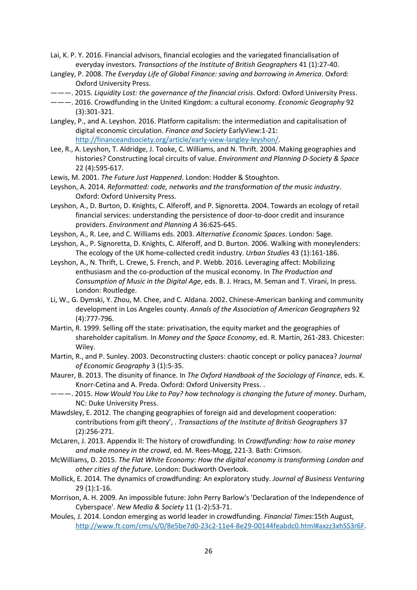- <span id="page-26-3"></span>Lai, K. P. Y. 2016. Financial advisors, financial ecologies and the variegated financialisation of everyday investors. *Transactions of the Institute of British Geographers* 41 (1):27-40.
- <span id="page-26-7"></span>Langley, P. 2008. *The Everyday Life of Global Finance: saving and borrowing in America*. Oxford: Oxford University Press.
- <span id="page-26-2"></span>———. 2015. *Liquidity Lost: the governance of the financial crisis*. Oxford: Oxford University Press.
- <span id="page-26-15"></span>———. 2016. Crowdfunding in the United Kingdom: a cultural economy. *Economic Geography* 92 (3):301-321.
- <span id="page-26-17"></span>Langley, P., and A. Leyshon. 2016. Platform capitalism: the intermediation and capitalisation of digital economic circulation. *Finance and Society* EarlyView:1-21: [http://financeandsociety.org/article/early-view-langley-leyshon/.](http://financeandsociety.org/article/early-view-langley-leyshon/)
- <span id="page-26-11"></span>Lee, R., A. Leyshon, T. Aldridge, J. Tooke, C. Williams, and N. Thrift. 2004. Making geographies and histories? Constructing local circuits of value. *Environment and Planning D-Society & Space* 22 (4):595-617.
- <span id="page-26-9"></span>Lewis, M. 2001. *The Future Just Happened*. London: Hodder & Stoughton.
- <span id="page-26-18"></span>Leyshon, A. 2014. *Reformatted: code, networks and the transformation of the music industry*. Oxford: Oxford University Press.
- <span id="page-26-0"></span>Leyshon, A., D. Burton, D. Knights, C. Alferoff, and P. Signoretta. 2004. Towards an ecology of retail financial services: understanding the persistence of door-to-door credit and insurance providers. *Environment and Planning A* 36:625-645.
- <span id="page-26-13"></span>Leyshon, A., R. Lee, and C. Williams eds. 2003. *Alternative Economic Spaces*. London: Sage.
- <span id="page-26-1"></span>Leyshon, A., P. Signoretta, D. Knights, C. Alferoff, and D. Burton. 2006. Walking with moneylenders: The ecology of the UK home-collected credit industry. *Urban Studies* 43 (1):161-186.
- <span id="page-26-10"></span>Leyshon, A., N. Thrift, L. Crewe, S. French, and P. Webb. 2016. Leveraging affect: Mobilizing enthusiasm and the co-production of the musical economy. In *The Production and Consumption of Music in the Digital Age*, eds. B. J. Hracs, M. Seman and T. Virani, In press. London: Routledge.
- <span id="page-26-20"></span>Li, W., G. Dymski, Y. Zhou, M. Chee, and C. Aldana. 2002. Chinese-American banking and community development in Los Angeles county. *Annals of the Association of American Geographers* 92 (4):777-796.
- <span id="page-26-8"></span>Martin, R. 1999. Selling off the state: privatisation, the equity market and the geographies of shareholder capitalism. In *Money and the Space Economy*, ed. R. Martin, 261-283. Chicester: Wiley.
- <span id="page-26-21"></span>Martin, R., and P. Sunley. 2003. Deconstructing clusters: chaotic concept or policy panacea? *Journal of Economic Geography* 3 (1):5-35.
- <span id="page-26-22"></span>Maurer, B. 2013. The disunity of finance. In *The Oxford Handbook of the Sociology of Finance*, eds. K. Knorr-Cetina and A. Preda. Oxford: Oxford University Press. .
- <span id="page-26-4"></span>———. 2015. *How Would You Like to Pay? how technology is changing the future of money*. Durham, NC: Duke University Press.
- <span id="page-26-14"></span>Mawdsley, E. 2012. The changing geographies of foreign aid and development cooperation: contributions from gift theory', . *Transactions of the Institute of British Geographers* 37 (2):256-271.
- <span id="page-26-6"></span>McLaren, J. 2013. Appendix II: The history of crowdfunding. In *Crowdfunding: how to raise money and make money in the crowd*, ed. M. Rees-Mogg, 221-3. Bath: Crimson.
- <span id="page-26-12"></span>McWilliams, D. 2015. *The Flat White Economy: How the digital economy is transforming London and other cities of the future*. London: Duckworth Overlook.
- <span id="page-26-16"></span>Mollick, E. 2014. The dynamics of crowdfunding: An exploratory study. *Journal of Business Venturing* 29 (1):1-16.
- <span id="page-26-19"></span>Morrison, A. H. 2009. An impossible future: John Perry Barlow's 'Declaration of the Independence of Cyberspace'. *New Media & Society* 11 (1-2):53-71.
- <span id="page-26-5"></span>Moules, J. 2014. London emerging as world leader in crowdfunding. *Financial Times*:15th August, [http://www.ft.com/cms/s/0/8e5be7d0-23c2-11e4-8e29-00144feabdc0.html#axzz3xhSS3r6F.](http://www.ft.com/cms/s/0/8e5be7d0-23c2-11e4-8e29-00144feabdc0.html#axzz3xhSS3r6F)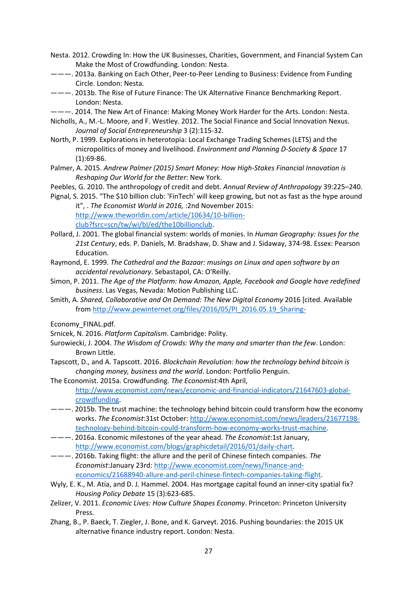- <span id="page-27-1"></span>Nesta. 2012. Crowding In: How the UK Businesses, Charities, Government, and Financial System Can Make the Most of Crowdfunding. London: Nesta.
- <span id="page-27-2"></span>———. 2013a. Banking on Each Other, Peer-to-Peer Lending to Business: Evidence from Funding Circle. London: Nesta.
- <span id="page-27-0"></span>———. 2013b. The Rise of Future Finance: The UK Alternative Finance Benchmarking Report. London: Nesta.
- <span id="page-27-18"></span>———. 2014. The New Art of Finance: Making Money Work Harder for the Arts. London: Nesta.
- <span id="page-27-12"></span>Nicholls, A., M.-L. Moore, and F. Westley. 2012. The Social Finance and Social Innovation Nexus. *Journal of Social Entrepreneurship* 3 (2):115-32.
- <span id="page-27-7"></span>North, P. 1999. Explorations in heterotopia: Local Exchange Trading Schemes (LETS) and the micropolitics of money and livelihood. *Environment and Planning D-Society & Space* 17 (1):69-86.
- <span id="page-27-11"></span>Palmer, A. 2015. *Andrew Palmer (2015) Smart Money: How High-Stakes Financial Innovation is Reshaping Our World for the Better*: New York.
- <span id="page-27-16"></span>Peebles, G. 2010. The anthropology of credit and debt. *Annual Review of Anthropology* 39:225–240.
- <span id="page-27-10"></span>Pignal, S. 2015. "The \$10 billion club: 'FinTech' will keep growing, but not as fast as the hype around it", . *The Economist World in 2016,* :2nd November 2015: [http://www.theworldin.com/article/10634/10-billion](http://www.theworldin.com/article/10634/10-billion-club?fsrc=scn/tw/wi/bl/ed/the10billionclub)[club?fsrc=scn/tw/wi/bl/ed/the10billionclub.](http://www.theworldin.com/article/10634/10-billion-club?fsrc=scn/tw/wi/bl/ed/the10billionclub)
- <span id="page-27-3"></span>Pollard, J. 2001. The global financial system: worlds of monies. In *Human Geography: Issues for the 21st Century*, eds. P. Daniels, M. Bradshaw, D. Shaw and J. Sidaway, 374-98. Essex: Pearson Education.
- <span id="page-27-17"></span>Raymond, E. 1999. *The Cathedral and the Bazaar: musings on Linux and open software by an accidental revolutionary*. Sebastapol, CA: O'Reilly.
- <span id="page-27-15"></span>Simon, P. 2011. *The Age of the Platform: how Amazon, Apple, Facebook and Google have redefined business*. Las Vegas, Nevada: Motion Publishing LLC.
- <span id="page-27-21"></span>Smith, A. *Shared, Collaborative and On Demand: The New Digital Economy* 2016 [cited. Available from [http://www.pewinternet.org/files/2016/05/PI\\_2016.05.19\\_Sharing-](http://www.pewinternet.org/files/2016/05/PI_2016.05.19_Sharing-)
- Economy\_FINAL.pdf.
- <span id="page-27-13"></span>Srnicek, N. 2016. *Platform Capitalism*. Cambridge: Polity.
- <span id="page-27-20"></span>Surowiecki, J. 2004. *The Wisdom of Crowds: Why the many and smarter than the few*. London: Brown Little.
- <span id="page-27-8"></span>Tapscott, D., and A. Tapscott. 2016. *Blockchain Revolution: how the technology behind bitcoin is changing money, business and the world*. London: Portfolio Penguin.
- <span id="page-27-5"></span>The Economist. 2015a. Crowdfunding. *The Economist*:4th April, [http://www.economist.com/news/economic-and-financial-indicators/21647603-global](http://www.economist.com/news/economic-and-financial-indicators/21647603-global-crowdfunding)[crowdfunding.](http://www.economist.com/news/economic-and-financial-indicators/21647603-global-crowdfunding)
- <span id="page-27-9"></span>———. 2015b. The trust machine: the technology behind bitcoin could transform how the economy works. *The Economist*:31st October: [http://www.economist.com/news/leaders/21677198](http://www.economist.com/news/leaders/21677198-technology-behind-bitcoin-could-transform-how-economy-works-trust-machine) [technology-behind-bitcoin-could-transform-how-economy-works-trust-machine.](http://www.economist.com/news/leaders/21677198-technology-behind-bitcoin-could-transform-how-economy-works-trust-machine)
- <span id="page-27-6"></span>———. 2016a. Economic milestones of the year ahead. *The Economist*:1st January, [http://www.economist.com/blogs/graphicdetail/2016/01/daily-chart.](http://www.economist.com/blogs/graphicdetail/2016/01/daily-chart)
- <span id="page-27-22"></span>———. 2016b. Taking flight: the allure and the peril of Chinese fintech companies. *The Economist*:January 23rd: [http://www.economist.com/news/finance-and](http://www.economist.com/news/finance-and-economics/21688940-allure-and-peril-chinese-fintech-companies-taking-flight)[economics/21688940-allure-and-peril-chinese-fintech-companies-taking-flight.](http://www.economist.com/news/finance-and-economics/21688940-allure-and-peril-chinese-fintech-companies-taking-flight)
- <span id="page-27-19"></span>Wyly, E. K., M. Atia, and D. J. Hammel. 2004. Has mortgage capital found an inner-city spatial fix? *Housing Policy Debate* 15 (3):623-685.
- <span id="page-27-14"></span>Zelizer, V. 2011. *Economic Lives: How Culture Shapes Economy*. Princeton: Princeton University Press.
- <span id="page-27-4"></span>Zhang, B., P. Baeck, T. Ziegler, J. Bone, and K. Garveyt. 2016. Pushing boundaries: the 2015 UK alternative finance industry report. London: Nesta.